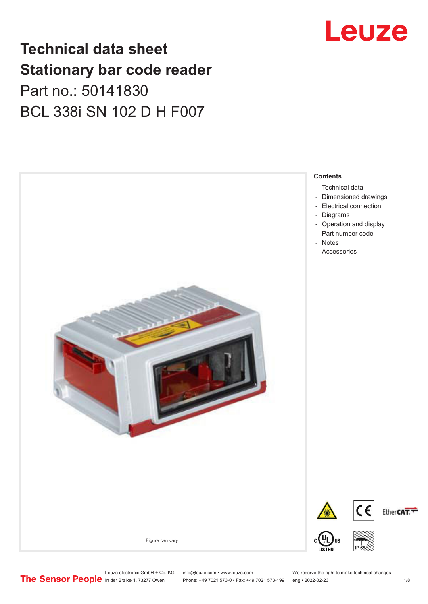### **Technical data sheet Stationary bar code reader** Part no.: 50141830 BCL 338i SN 102 D H F007



## Leuze

Leuze electronic GmbH + Co. KG info@leuze.com • www.leuze.com We reserve the right to make technical changes<br>
The Sensor People in der Braike 1, 73277 Owen Phone: +49 7021 573-0 • Fax: +49 7021 573-199 eng • 2022-02-23

Phone: +49 7021 573-0 • Fax: +49 7021 573-199 eng • 2022-02-23 1 /8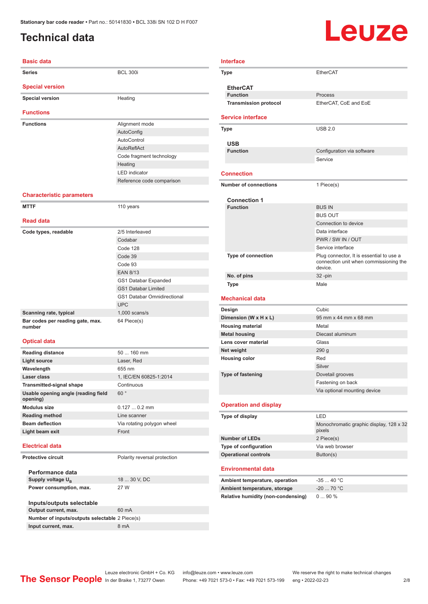### <span id="page-1-0"></span>**Technical data**

# Leuze

| <b>Basic data</b>                               |                                    |
|-------------------------------------------------|------------------------------------|
| <b>Series</b>                                   | <b>BCL 300i</b>                    |
| <b>Special version</b>                          |                                    |
| <b>Special version</b>                          | Heating                            |
| <b>Functions</b>                                |                                    |
| <b>Functions</b>                                | Alignment mode                     |
|                                                 | AutoConfig                         |
|                                                 | AutoControl                        |
|                                                 | AutoReflAct                        |
|                                                 | Code fragment technology           |
|                                                 | Heating                            |
|                                                 | <b>LED</b> indicator               |
|                                                 | Reference code comparison          |
| <b>Characteristic parameters</b>                |                                    |
| <b>MTTF</b>                                     | 110 years                          |
| <b>Read data</b>                                |                                    |
| Code types, readable                            | 2/5 Interleaved                    |
|                                                 | Codabar                            |
|                                                 | Code 128                           |
|                                                 | Code 39                            |
|                                                 | Code 93                            |
|                                                 | <b>EAN 8/13</b>                    |
|                                                 | GS1 Databar Expanded               |
|                                                 | <b>GS1 Databar Limited</b>         |
|                                                 | <b>GS1 Databar Omnidirectional</b> |
|                                                 | <b>UPC</b>                         |
| Scanning rate, typical                          | $1,000$ scans/s                    |
| Bar codes per reading gate, max.<br>number      | 64 Piece(s)                        |
| <b>Optical data</b>                             |                                    |
| <b>Reading distance</b>                         | 50  160 mm                         |
| <b>Light source</b>                             | Laser, Red                         |
| Wavelength                                      | 655 nm                             |
| Laser class                                     | 1, IEC/EN 60825-1:2014             |
| <b>Transmitted-signal shape</b>                 | Continuous                         |
| Usable opening angle (reading field<br>opening) | 60°                                |
| <b>Modulus size</b>                             | $0.1270.2$ mm                      |
| <b>Reading method</b>                           | Line scanner                       |
| <b>Beam deflection</b>                          | Via rotating polygon wheel         |
| Light beam exit                                 | Front                              |

#### **Electrical data**

**Protective circuit** Polarity reversal protection

**Performance data Supply voltage U<sub>B</sub> Power consumption, max.** 27 W

#### 18 ... 30 V, DC

**Inputs/outputs selectable Output current, max.** 60 mA **Number of inputs/outputs selectable** 2 Piece(s) **Input current, max.** 8 mA

| EtherCAT<br>Type<br><b>EtherCAT</b><br><b>Function</b><br>Process<br><b>Transmission protocol</b><br>EtherCAT, CoE and EoE<br><b>Service interface</b><br><b>USB 2.0</b><br><b>Type</b><br>USB<br><b>Function</b><br>Configuration via software<br>Service<br><b>Connection</b><br><b>Number of connections</b><br>1 Piece(s)<br><b>Connection 1</b><br><b>Function</b><br><b>BUS IN</b><br><b>BUS OUT</b><br>Connection to device<br>Data interface<br>PWR / SW IN / OUT<br>Service interface<br>Plug connector, It is essential to use a<br><b>Type of connection</b><br>connection unit when commissioning the<br>device.<br>No. of pins<br>$32 - pin$<br>Male<br>Type<br><b>Mechanical data</b><br>Cubic<br>Design<br>95 mm x 44 mm x 68 mm<br>Dimension (W x H x L)<br>Metal<br><b>Housing material</b><br><b>Metal housing</b><br>Diecast aluminum<br>Lens cover material<br>Glass<br>Net weight<br>290 <sub>g</sub><br><b>Housing color</b><br>Red<br>Silver<br><b>Type of fastening</b><br>Dovetail grooves<br>Fastening on back<br>Via optional mounting device<br><b>Operation and display</b><br>Type of display<br>LED<br>pixels | Monochromatic graphic display, 128 x 32<br>2 Piece(s)<br>Type of configuration<br>Via web browser<br>Button(s) |                                |            |
|----------------------------------------------------------------------------------------------------------------------------------------------------------------------------------------------------------------------------------------------------------------------------------------------------------------------------------------------------------------------------------------------------------------------------------------------------------------------------------------------------------------------------------------------------------------------------------------------------------------------------------------------------------------------------------------------------------------------------------------------------------------------------------------------------------------------------------------------------------------------------------------------------------------------------------------------------------------------------------------------------------------------------------------------------------------------------------------------------------------------------------------------|----------------------------------------------------------------------------------------------------------------|--------------------------------|------------|
|                                                                                                                                                                                                                                                                                                                                                                                                                                                                                                                                                                                                                                                                                                                                                                                                                                                                                                                                                                                                                                                                                                                                              |                                                                                                                |                                |            |
|                                                                                                                                                                                                                                                                                                                                                                                                                                                                                                                                                                                                                                                                                                                                                                                                                                                                                                                                                                                                                                                                                                                                              |                                                                                                                |                                |            |
|                                                                                                                                                                                                                                                                                                                                                                                                                                                                                                                                                                                                                                                                                                                                                                                                                                                                                                                                                                                                                                                                                                                                              |                                                                                                                |                                |            |
|                                                                                                                                                                                                                                                                                                                                                                                                                                                                                                                                                                                                                                                                                                                                                                                                                                                                                                                                                                                                                                                                                                                                              |                                                                                                                |                                |            |
|                                                                                                                                                                                                                                                                                                                                                                                                                                                                                                                                                                                                                                                                                                                                                                                                                                                                                                                                                                                                                                                                                                                                              |                                                                                                                |                                |            |
|                                                                                                                                                                                                                                                                                                                                                                                                                                                                                                                                                                                                                                                                                                                                                                                                                                                                                                                                                                                                                                                                                                                                              |                                                                                                                |                                |            |
|                                                                                                                                                                                                                                                                                                                                                                                                                                                                                                                                                                                                                                                                                                                                                                                                                                                                                                                                                                                                                                                                                                                                              |                                                                                                                |                                |            |
|                                                                                                                                                                                                                                                                                                                                                                                                                                                                                                                                                                                                                                                                                                                                                                                                                                                                                                                                                                                                                                                                                                                                              |                                                                                                                |                                |            |
|                                                                                                                                                                                                                                                                                                                                                                                                                                                                                                                                                                                                                                                                                                                                                                                                                                                                                                                                                                                                                                                                                                                                              |                                                                                                                |                                |            |
|                                                                                                                                                                                                                                                                                                                                                                                                                                                                                                                                                                                                                                                                                                                                                                                                                                                                                                                                                                                                                                                                                                                                              |                                                                                                                |                                |            |
|                                                                                                                                                                                                                                                                                                                                                                                                                                                                                                                                                                                                                                                                                                                                                                                                                                                                                                                                                                                                                                                                                                                                              |                                                                                                                |                                |            |
|                                                                                                                                                                                                                                                                                                                                                                                                                                                                                                                                                                                                                                                                                                                                                                                                                                                                                                                                                                                                                                                                                                                                              |                                                                                                                |                                |            |
|                                                                                                                                                                                                                                                                                                                                                                                                                                                                                                                                                                                                                                                                                                                                                                                                                                                                                                                                                                                                                                                                                                                                              |                                                                                                                |                                |            |
|                                                                                                                                                                                                                                                                                                                                                                                                                                                                                                                                                                                                                                                                                                                                                                                                                                                                                                                                                                                                                                                                                                                                              |                                                                                                                |                                |            |
|                                                                                                                                                                                                                                                                                                                                                                                                                                                                                                                                                                                                                                                                                                                                                                                                                                                                                                                                                                                                                                                                                                                                              |                                                                                                                |                                |            |
|                                                                                                                                                                                                                                                                                                                                                                                                                                                                                                                                                                                                                                                                                                                                                                                                                                                                                                                                                                                                                                                                                                                                              |                                                                                                                |                                |            |
|                                                                                                                                                                                                                                                                                                                                                                                                                                                                                                                                                                                                                                                                                                                                                                                                                                                                                                                                                                                                                                                                                                                                              |                                                                                                                |                                |            |
|                                                                                                                                                                                                                                                                                                                                                                                                                                                                                                                                                                                                                                                                                                                                                                                                                                                                                                                                                                                                                                                                                                                                              |                                                                                                                |                                |            |
|                                                                                                                                                                                                                                                                                                                                                                                                                                                                                                                                                                                                                                                                                                                                                                                                                                                                                                                                                                                                                                                                                                                                              |                                                                                                                |                                |            |
|                                                                                                                                                                                                                                                                                                                                                                                                                                                                                                                                                                                                                                                                                                                                                                                                                                                                                                                                                                                                                                                                                                                                              |                                                                                                                |                                |            |
|                                                                                                                                                                                                                                                                                                                                                                                                                                                                                                                                                                                                                                                                                                                                                                                                                                                                                                                                                                                                                                                                                                                                              |                                                                                                                |                                |            |
|                                                                                                                                                                                                                                                                                                                                                                                                                                                                                                                                                                                                                                                                                                                                                                                                                                                                                                                                                                                                                                                                                                                                              |                                                                                                                |                                |            |
|                                                                                                                                                                                                                                                                                                                                                                                                                                                                                                                                                                                                                                                                                                                                                                                                                                                                                                                                                                                                                                                                                                                                              |                                                                                                                |                                |            |
|                                                                                                                                                                                                                                                                                                                                                                                                                                                                                                                                                                                                                                                                                                                                                                                                                                                                                                                                                                                                                                                                                                                                              |                                                                                                                |                                |            |
|                                                                                                                                                                                                                                                                                                                                                                                                                                                                                                                                                                                                                                                                                                                                                                                                                                                                                                                                                                                                                                                                                                                                              |                                                                                                                |                                |            |
|                                                                                                                                                                                                                                                                                                                                                                                                                                                                                                                                                                                                                                                                                                                                                                                                                                                                                                                                                                                                                                                                                                                                              |                                                                                                                |                                |            |
|                                                                                                                                                                                                                                                                                                                                                                                                                                                                                                                                                                                                                                                                                                                                                                                                                                                                                                                                                                                                                                                                                                                                              |                                                                                                                |                                |            |
|                                                                                                                                                                                                                                                                                                                                                                                                                                                                                                                                                                                                                                                                                                                                                                                                                                                                                                                                                                                                                                                                                                                                              |                                                                                                                |                                |            |
|                                                                                                                                                                                                                                                                                                                                                                                                                                                                                                                                                                                                                                                                                                                                                                                                                                                                                                                                                                                                                                                                                                                                              |                                                                                                                |                                |            |
|                                                                                                                                                                                                                                                                                                                                                                                                                                                                                                                                                                                                                                                                                                                                                                                                                                                                                                                                                                                                                                                                                                                                              |                                                                                                                |                                |            |
|                                                                                                                                                                                                                                                                                                                                                                                                                                                                                                                                                                                                                                                                                                                                                                                                                                                                                                                                                                                                                                                                                                                                              |                                                                                                                |                                |            |
|                                                                                                                                                                                                                                                                                                                                                                                                                                                                                                                                                                                                                                                                                                                                                                                                                                                                                                                                                                                                                                                                                                                                              |                                                                                                                |                                |            |
|                                                                                                                                                                                                                                                                                                                                                                                                                                                                                                                                                                                                                                                                                                                                                                                                                                                                                                                                                                                                                                                                                                                                              |                                                                                                                |                                |            |
|                                                                                                                                                                                                                                                                                                                                                                                                                                                                                                                                                                                                                                                                                                                                                                                                                                                                                                                                                                                                                                                                                                                                              |                                                                                                                |                                |            |
|                                                                                                                                                                                                                                                                                                                                                                                                                                                                                                                                                                                                                                                                                                                                                                                                                                                                                                                                                                                                                                                                                                                                              |                                                                                                                |                                |            |
|                                                                                                                                                                                                                                                                                                                                                                                                                                                                                                                                                                                                                                                                                                                                                                                                                                                                                                                                                                                                                                                                                                                                              |                                                                                                                |                                |            |
|                                                                                                                                                                                                                                                                                                                                                                                                                                                                                                                                                                                                                                                                                                                                                                                                                                                                                                                                                                                                                                                                                                                                              |                                                                                                                |                                |            |
|                                                                                                                                                                                                                                                                                                                                                                                                                                                                                                                                                                                                                                                                                                                                                                                                                                                                                                                                                                                                                                                                                                                                              |                                                                                                                |                                |            |
|                                                                                                                                                                                                                                                                                                                                                                                                                                                                                                                                                                                                                                                                                                                                                                                                                                                                                                                                                                                                                                                                                                                                              |                                                                                                                |                                |            |
|                                                                                                                                                                                                                                                                                                                                                                                                                                                                                                                                                                                                                                                                                                                                                                                                                                                                                                                                                                                                                                                                                                                                              |                                                                                                                |                                |            |
|                                                                                                                                                                                                                                                                                                                                                                                                                                                                                                                                                                                                                                                                                                                                                                                                                                                                                                                                                                                                                                                                                                                                              |                                                                                                                |                                |            |
|                                                                                                                                                                                                                                                                                                                                                                                                                                                                                                                                                                                                                                                                                                                                                                                                                                                                                                                                                                                                                                                                                                                                              |                                                                                                                |                                |            |
|                                                                                                                                                                                                                                                                                                                                                                                                                                                                                                                                                                                                                                                                                                                                                                                                                                                                                                                                                                                                                                                                                                                                              |                                                                                                                |                                |            |
|                                                                                                                                                                                                                                                                                                                                                                                                                                                                                                                                                                                                                                                                                                                                                                                                                                                                                                                                                                                                                                                                                                                                              |                                                                                                                |                                |            |
|                                                                                                                                                                                                                                                                                                                                                                                                                                                                                                                                                                                                                                                                                                                                                                                                                                                                                                                                                                                                                                                                                                                                              |                                                                                                                |                                |            |
|                                                                                                                                                                                                                                                                                                                                                                                                                                                                                                                                                                                                                                                                                                                                                                                                                                                                                                                                                                                                                                                                                                                                              |                                                                                                                |                                |            |
|                                                                                                                                                                                                                                                                                                                                                                                                                                                                                                                                                                                                                                                                                                                                                                                                                                                                                                                                                                                                                                                                                                                                              |                                                                                                                |                                |            |
|                                                                                                                                                                                                                                                                                                                                                                                                                                                                                                                                                                                                                                                                                                                                                                                                                                                                                                                                                                                                                                                                                                                                              |                                                                                                                |                                |            |
|                                                                                                                                                                                                                                                                                                                                                                                                                                                                                                                                                                                                                                                                                                                                                                                                                                                                                                                                                                                                                                                                                                                                              |                                                                                                                |                                |            |
|                                                                                                                                                                                                                                                                                                                                                                                                                                                                                                                                                                                                                                                                                                                                                                                                                                                                                                                                                                                                                                                                                                                                              |                                                                                                                | <b>Number of LEDs</b>          |            |
|                                                                                                                                                                                                                                                                                                                                                                                                                                                                                                                                                                                                                                                                                                                                                                                                                                                                                                                                                                                                                                                                                                                                              |                                                                                                                |                                |            |
| <b>Operational controls</b>                                                                                                                                                                                                                                                                                                                                                                                                                                                                                                                                                                                                                                                                                                                                                                                                                                                                                                                                                                                                                                                                                                                  |                                                                                                                |                                |            |
|                                                                                                                                                                                                                                                                                                                                                                                                                                                                                                                                                                                                                                                                                                                                                                                                                                                                                                                                                                                                                                                                                                                                              |                                                                                                                |                                |            |
|                                                                                                                                                                                                                                                                                                                                                                                                                                                                                                                                                                                                                                                                                                                                                                                                                                                                                                                                                                                                                                                                                                                                              |                                                                                                                | <b>Environmental data</b>      |            |
|                                                                                                                                                                                                                                                                                                                                                                                                                                                                                                                                                                                                                                                                                                                                                                                                                                                                                                                                                                                                                                                                                                                                              |                                                                                                                | Ambient temperature, operation | $-3540 °C$ |
|                                                                                                                                                                                                                                                                                                                                                                                                                                                                                                                                                                                                                                                                                                                                                                                                                                                                                                                                                                                                                                                                                                                                              |                                                                                                                |                                |            |
|                                                                                                                                                                                                                                                                                                                                                                                                                                                                                                                                                                                                                                                                                                                                                                                                                                                                                                                                                                                                                                                                                                                                              |                                                                                                                |                                |            |

| Ambient temperature, operation     | $-3540 °C$ |
|------------------------------------|------------|
| Ambient temperature, storage       | -20  70 °C |
| Relative humidity (non-condensing) | $090\%$    |

Phone: +49 7021 573-0 • Fax: +49 7021 573-199 eng • 2022-02-23 2/8

**Interface**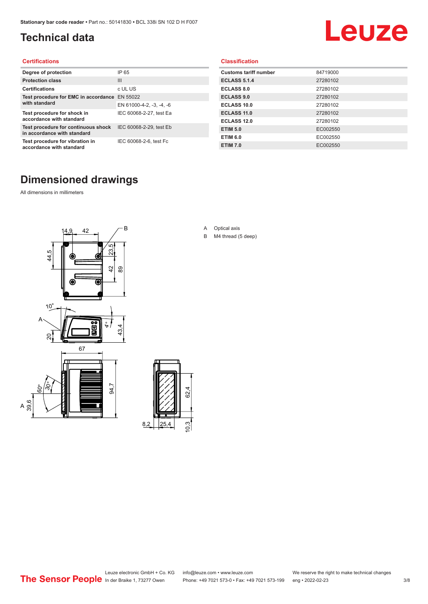### <span id="page-2-0"></span>**Technical data**

# Leuze

#### **Certifications**

| Degree of protection                                               | IP 65                    |
|--------------------------------------------------------------------|--------------------------|
| <b>Protection class</b>                                            | Ш                        |
| <b>Certifications</b>                                              | c UL US                  |
| Test procedure for EMC in accordance EN 55022                      |                          |
| with standard                                                      | EN 61000-4-2, -3, -4, -6 |
| Test procedure for shock in<br>accordance with standard            | IEC 60068-2-27, test Ea  |
| Test procedure for continuous shock<br>in accordance with standard | IEC 60068-2-29, test Eb  |
| Test procedure for vibration in<br>accordance with standard        | IEC 60068-2-6, test Fc   |

#### **Classification**

| <b>Customs tariff number</b> | 84719000 |
|------------------------------|----------|
| <b>ECLASS 5.1.4</b>          | 27280102 |
| <b>ECLASS 8.0</b>            | 27280102 |
| <b>ECLASS 9.0</b>            | 27280102 |
| ECLASS 10.0                  | 27280102 |
| <b>ECLASS 11.0</b>           | 27280102 |
| ECLASS 12.0                  | 27280102 |
| <b>ETIM 5.0</b>              | EC002550 |
| <b>ETIM 6.0</b>              | EC002550 |
| <b>ETIM 7.0</b>              | EC002550 |

#### **Dimensioned drawings**

All dimensions in millimeters

 $\overline{A}$ 





- A Optical axis
- B M4 thread (5 deep)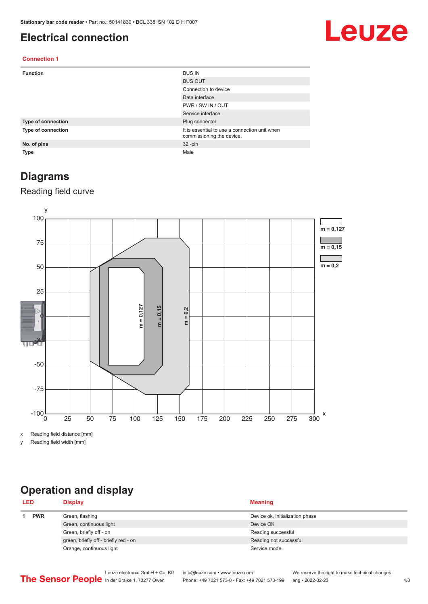#### <span id="page-3-0"></span>**Electrical connection**

## Leuze

#### **Connection 1**

| <b>Function</b>    | <b>BUS IN</b>                                                              |
|--------------------|----------------------------------------------------------------------------|
|                    | <b>BUS OUT</b>                                                             |
|                    | Connection to device                                                       |
|                    | Data interface                                                             |
|                    | PWR / SW IN / OUT                                                          |
|                    | Service interface                                                          |
| Type of connection | Plug connector                                                             |
| Type of connection | It is essential to use a connection unit when<br>commissioning the device. |
| No. of pins        | $32 - pin$                                                                 |
| <b>Type</b>        | Male                                                                       |

#### **Diagrams**

#### Reading field curve



x Reading field distance [mm]

y Reading field width [mm]

### **Operation and display**

| <b>LED</b> |  | <b>Display</b>                        | <b>Meaning</b>                  |  |
|------------|--|---------------------------------------|---------------------------------|--|
| <b>PWR</b> |  | Green, flashing                       | Device ok, initialization phase |  |
|            |  | Green, continuous light               | Device OK                       |  |
|            |  | Green, briefly off - on               | Reading successful              |  |
|            |  | green, briefly off - briefly red - on | Reading not successful          |  |
|            |  | Orange, continuous light              | Service mode                    |  |
|            |  |                                       |                                 |  |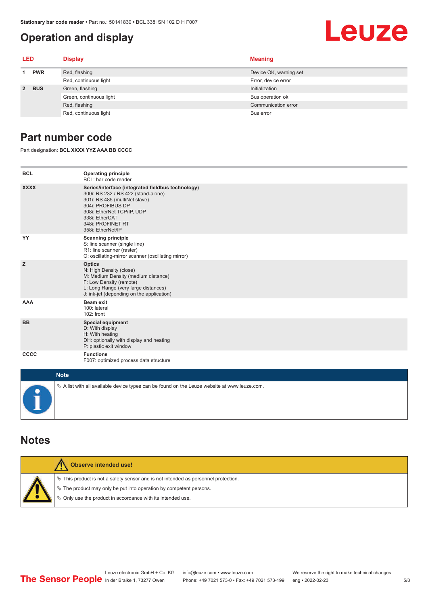#### **Operation and display**

#### <span id="page-4-0"></span>Leuze **LED Display Meaning 1 PWR** Red, flashing **Device OK, warning set** Device OK, warning set Red, continuous light Error, device error **2 BUS** Green, flashing **Initialization** Initialization Green, continuous light Bus operation of Bus operation of Bus operation of Bus operation of

Red, flashing Communication error communication error communication error communication error Red, continuous light Bus error

#### **Part number code**

Part designation: **BCL XXXX YYZ AAA BB CCCC**

| <b>BCL</b>  | <b>Operating principle</b><br>BCL: bar code reader                                                                                                                                                                                       |
|-------------|------------------------------------------------------------------------------------------------------------------------------------------------------------------------------------------------------------------------------------------|
| <b>XXXX</b> | Series/interface (integrated fieldbus technology)<br>300i: RS 232 / RS 422 (stand-alone)<br>301i: RS 485 (multiNet slave)<br>304i: PROFIBUS DP<br>308i: EtherNet TCP/IP, UDP<br>338i: EtherCAT<br>348i: PROFINET RT<br>358i: EtherNet/IP |
| YY          | <b>Scanning principle</b><br>S: line scanner (single line)<br>R1: line scanner (raster)<br>O: oscillating-mirror scanner (oscillating mirror)                                                                                            |
| z           | <b>Optics</b><br>N: High Density (close)<br>M: Medium Density (medium distance)<br>F: Low Density (remote)<br>L: Long Range (very large distances)<br>J: ink-jet (depending on the application)                                          |
| <b>AAA</b>  | Beam exit<br>100: lateral<br>102: front                                                                                                                                                                                                  |
| <b>BB</b>   | <b>Special equipment</b><br>D: With display<br>H: With heating<br>DH: optionally with display and heating<br>P: plastic exit window                                                                                                      |
| CCCC        | <b>Functions</b><br>F007: optimized process data structure                                                                                                                                                                               |
| $M = 4.4$   |                                                                                                                                                                                                                                          |

| <b>Note</b> |                                                                                              |
|-------------|----------------------------------------------------------------------------------------------|
|             | ∜ A list with all available device types can be found on the Leuze website at www.leuze.com. |

#### **Notes**

| Observe intended use!                                                                                                                                                                                                            |
|----------------------------------------------------------------------------------------------------------------------------------------------------------------------------------------------------------------------------------|
| $\%$ This product is not a safety sensor and is not intended as personnel protection.<br>$\%$ The product may only be put into operation by competent persons.<br>$\%$ Only use the product in accordance with its intended use. |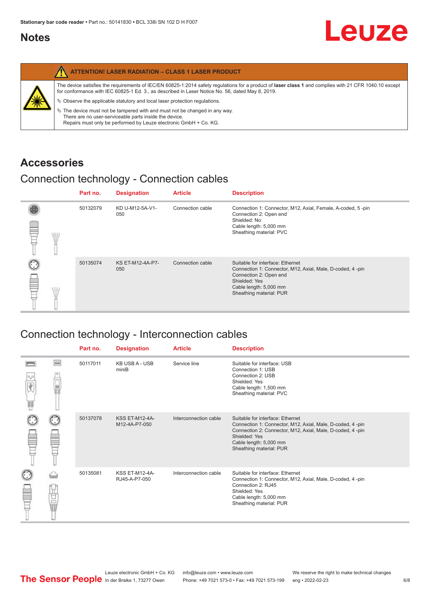#### <span id="page-5-0"></span>**Notes**

|   | <b>ATTENTION! LASER RADIATION - CLASS 1 LASER PRODUCT</b>                                                                                                                                                                                                  |
|---|------------------------------------------------------------------------------------------------------------------------------------------------------------------------------------------------------------------------------------------------------------|
|   | The device satisfies the requirements of IEC/EN 60825-1:2014 safety requlations for a product of laser class 1 and complies with 21 CFR 1040.10 except<br>for conformance with IEC 60825-1 Ed. 3., as described in Laser Notice No. 56, dated May 8, 2019. |
| X | $\&$ Observe the applicable statutory and local laser protection regulations.                                                                                                                                                                              |
|   | $\%$ The device must not be tampered with and must not be changed in any way.<br>There are no user-serviceable parts inside the device.<br>Repairs must only be performed by Leuze electronic GmbH + Co. KG.                                               |

#### **Accessories**

#### Connection technology - Connection cables

|      | Part no. | <b>Designation</b>      | <b>Article</b>   | <b>Description</b>                                                                                                                                                                            |
|------|----------|-------------------------|------------------|-----------------------------------------------------------------------------------------------------------------------------------------------------------------------------------------------|
| \ll. | 50132079 | KD U-M12-5A-V1-<br>050  | Connection cable | Connection 1: Connector, M12, Axial, Female, A-coded, 5-pin<br>Connection 2: Open end<br>Shielded: No<br>Cable length: 5,000 mm<br>Sheathing material: PVC                                    |
|      | 50135074 | KS ET-M12-4A-P7-<br>050 | Connection cable | Suitable for interface: Ethernet<br>Connection 1: Connector, M12, Axial, Male, D-coded, 4-pin<br>Connection 2: Open end<br>Shielded: Yes<br>Cable length: 5,000 mm<br>Sheathing material: PUR |

### Connection technology - Interconnection cables

|   |           | Part no. | <b>Designation</b>                     | <b>Article</b>        | <b>Description</b>                                                                                                                                                                                                               |
|---|-----------|----------|----------------------------------------|-----------------------|----------------------------------------------------------------------------------------------------------------------------------------------------------------------------------------------------------------------------------|
| 肩 | $\Box$    | 50117011 | <b>KB USB A - USB</b><br>miniB         | Service line          | Suitable for interface: USB<br>Connection 1: USB<br>Connection 2: USB<br>Shielded: Yes<br>Cable length: 1,500 mm<br>Sheathing material: PVC                                                                                      |
|   |           | 50137078 | <b>KSS ET-M12-4A-</b><br>M12-4A-P7-050 | Interconnection cable | Suitable for interface: Ethernet<br>Connection 1: Connector, M12, Axial, Male, D-coded, 4-pin<br>Connection 2: Connector, M12, Axial, Male, D-coded, 4-pin<br>Shielded: Yes<br>Cable length: 5,000 mm<br>Sheathing material: PUR |
|   | t<br>Sepa | 50135081 | KSS ET-M12-4A-<br>RJ45-A-P7-050        | Interconnection cable | Suitable for interface: Ethernet<br>Connection 1: Connector, M12, Axial, Male, D-coded, 4-pin<br>Connection 2: RJ45<br>Shielded: Yes<br>Cable length: 5,000 mm<br>Sheathing material: PUR                                        |

Leuze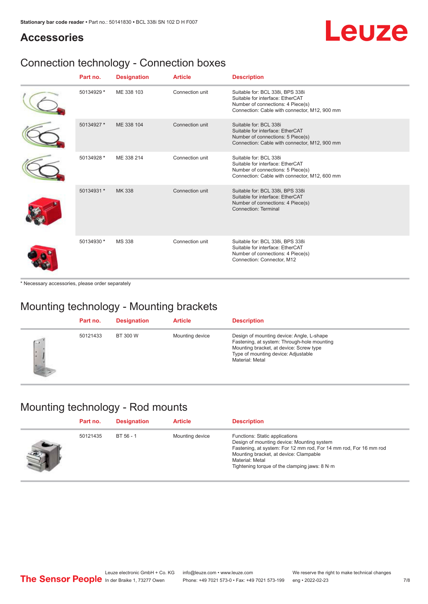## Leuze

#### **Accessories**

### Connection technology - Connection boxes

| Part no.   | <b>Designation</b> | <b>Article</b>  | <b>Description</b>                                                                                                                                         |
|------------|--------------------|-----------------|------------------------------------------------------------------------------------------------------------------------------------------------------------|
| 50134929 * | ME 338 103         | Connection unit | Suitable for: BCL 338i, BPS 338i<br>Suitable for interface: EtherCAT<br>Number of connections: 4 Piece(s)<br>Connection: Cable with connector, M12, 900 mm |
| 50134927 * | ME 338 104         | Connection unit | Suitable for: BCL 338i<br>Suitable for interface: EtherCAT<br>Number of connections: 5 Piece(s)<br>Connection: Cable with connector, M12, 900 mm           |
| 50134928 * | ME 338 214         | Connection unit | Suitable for: BCL 338i<br>Suitable for interface: EtherCAT<br>Number of connections: 5 Piece(s)<br>Connection: Cable with connector, M12, 600 mm           |
| 50134931 * | MK 338             | Connection unit | Suitable for: BCL 338i, BPS 338i<br>Suitable for interface: EtherCAT<br>Number of connections: 4 Piece(s)<br>Connection: Terminal                          |
| 50134930 * | <b>MS 338</b>      | Connection unit | Suitable for: BCL 338i, BPS 338i<br>Suitable for interface: EtherCAT<br>Number of connections: 4 Piece(s)<br>Connection: Connector, M12                    |

\* Necessary accessories, please order separately

#### Mounting technology - Mounting brackets

|              | Part no. | <b>Designation</b> | <b>Article</b>  | <b>Description</b>                                                                                                                                                                            |
|--------------|----------|--------------------|-----------------|-----------------------------------------------------------------------------------------------------------------------------------------------------------------------------------------------|
| $\sim$<br>ı. | 50121433 | BT 300 W           | Mounting device | Design of mounting device: Angle, L-shape<br>Fastening, at system: Through-hole mounting<br>Mounting bracket, at device: Screw type<br>Type of mounting device: Adjustable<br>Material: Metal |

#### Mounting technology - Rod mounts

| Part no. | <b>Designation</b> | <b>Article</b>  | <b>Description</b>                                                                                                                                                                                                                                                |
|----------|--------------------|-----------------|-------------------------------------------------------------------------------------------------------------------------------------------------------------------------------------------------------------------------------------------------------------------|
| 50121435 | BT 56 - 1          | Mounting device | Functions: Static applications<br>Design of mounting device: Mounting system<br>Fastening, at system: For 12 mm rod, For 14 mm rod, For 16 mm rod<br>Mounting bracket, at device: Clampable<br>Material: Metal<br>Tightening torque of the clamping jaws: $8 N·m$ |